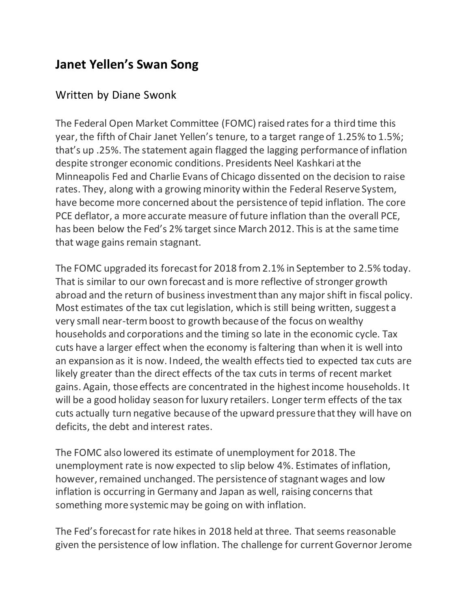## **Janet Yellen's Swan Song**

## Written by Diane Swonk

The Federal Open Market Committee (FOMC) raised rates for a third time this year, the fifth of Chair Janet Yellen's tenure, to a target range of 1.25% to 1.5%; that's up .25%. The statement again flagged the lagging performance of inflation despite stronger economic conditions. Presidents Neel Kashkari at the Minneapolis Fed and Charlie Evans of Chicago dissented on the decision to raise rates. They, along with a growing minority within the Federal Reserve System, have become more concerned about the persistence of tepid inflation. The core PCE deflator, a more accurate measure of future inflation than the overall PCE, has been below the Fed's 2% target since March 2012. This is at the same time that wage gains remain stagnant.

The FOMC upgraded its forecast for 2018 from 2.1% in September to 2.5% today. That is similar to our own forecast and is more reflective of stronger growth abroad and the return of business investment than any major shift in fiscal policy. Most estimates of the tax cut legislation, which is still being written, suggest a very small near-term boost to growth because of the focus on wealthy households and corporations and the timing so late in the economic cycle. Tax cuts have a larger effect when the economy is faltering than when it is well into an expansion as it is now. Indeed, the wealth effects tied to expected tax cuts are likely greater than the direct effects of the tax cuts in terms of recent market gains. Again, those effects are concentrated in the highest income households. It will be a good holiday season for luxury retailers. Longer term effects of the tax cuts actually turn negative because of the upward pressure that they will have on deficits, the debt and interest rates.

The FOMC also lowered its estimate of unemployment for 2018. The unemployment rate is now expected to slip below 4%. Estimates of inflation, however, remained unchanged. The persistence of stagnant wages and low inflation is occurring in Germany and Japan as well, raising concerns that something more systemic may be going on with inflation.

The Fed's forecast for rate hikes in 2018 held at three. That seems reasonable given the persistence of low inflation. The challenge for current Governor Jerome